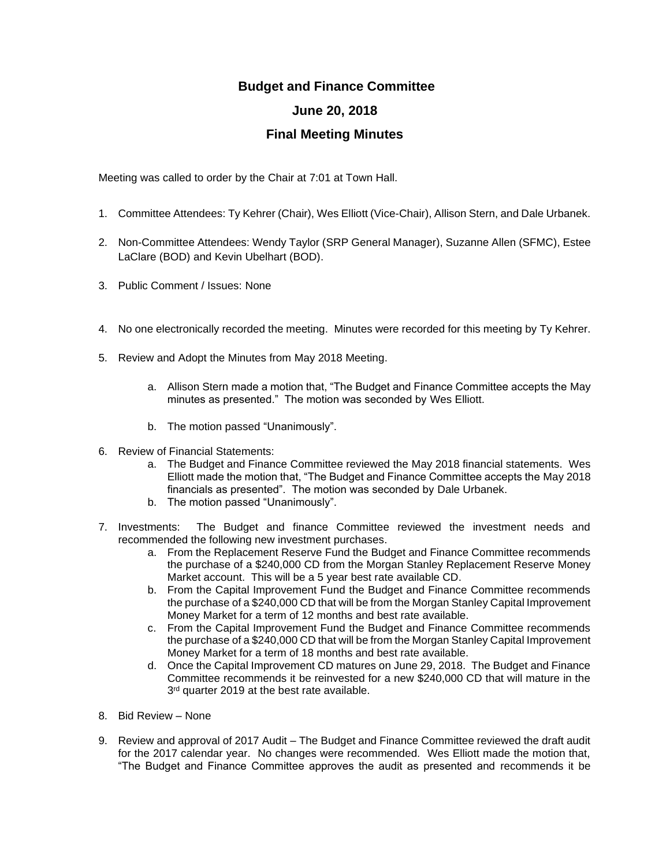## **Budget and Finance Committee June 20, 2018**

## **Final Meeting Minutes**

Meeting was called to order by the Chair at 7:01 at Town Hall.

- 1. Committee Attendees: Ty Kehrer (Chair), Wes Elliott (Vice-Chair), Allison Stern, and Dale Urbanek.
- 2. Non-Committee Attendees: Wendy Taylor (SRP General Manager), Suzanne Allen (SFMC), Estee LaClare (BOD) and Kevin Ubelhart (BOD).
- 3. Public Comment / Issues: None
- 4. No one electronically recorded the meeting. Minutes were recorded for this meeting by Ty Kehrer.
- 5. Review and Adopt the Minutes from May 2018 Meeting.
	- a. Allison Stern made a motion that, "The Budget and Finance Committee accepts the May minutes as presented." The motion was seconded by Wes Elliott.
	- b. The motion passed "Unanimously".
- 6. Review of Financial Statements:
	- a. The Budget and Finance Committee reviewed the May 2018 financial statements. Wes Elliott made the motion that, "The Budget and Finance Committee accepts the May 2018 financials as presented". The motion was seconded by Dale Urbanek.
	- b. The motion passed "Unanimously".
- 7. Investments: The Budget and finance Committee reviewed the investment needs and recommended the following new investment purchases.
	- a. From the Replacement Reserve Fund the Budget and Finance Committee recommends the purchase of a \$240,000 CD from the Morgan Stanley Replacement Reserve Money Market account. This will be a 5 year best rate available CD.
	- b. From the Capital Improvement Fund the Budget and Finance Committee recommends the purchase of a \$240,000 CD that will be from the Morgan Stanley Capital Improvement Money Market for a term of 12 months and best rate available.
	- c. From the Capital Improvement Fund the Budget and Finance Committee recommends the purchase of a \$240,000 CD that will be from the Morgan Stanley Capital Improvement Money Market for a term of 18 months and best rate available.
	- d. Once the Capital Improvement CD matures on June 29, 2018. The Budget and Finance Committee recommends it be reinvested for a new \$240,000 CD that will mature in the 3<sup>rd</sup> quarter 2019 at the best rate available.
- 8. Bid Review None
- 9. Review and approval of 2017 Audit The Budget and Finance Committee reviewed the draft audit for the 2017 calendar year. No changes were recommended. Wes Elliott made the motion that, "The Budget and Finance Committee approves the audit as presented and recommends it be